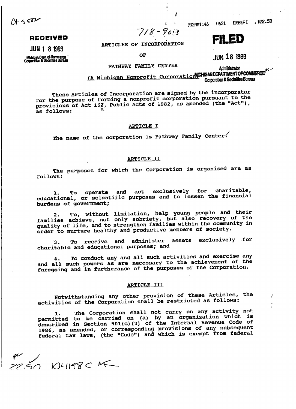$04552$ 

**RECEIVED**

**JUN 1 8 1993 ARTICLES OF INCORPORATION** 

t^qfCoiaijaiwr OF **(|(M « o IQQ'J**

Nichigan Dept. of Commerce<sup>7</sup><br>Corporation & Securities Bureau departments of the Corporation & Securities Bureau departments of the Corporation Co

PATHWAY FAMILY CENTER

**Administrator** 

fA **Michigan Nonprofit**

These Articles of Incorporation are signed by the incorporator for the purpose of forming a nonprofit corporation pursuant to the pr the purpose of forming a nonprofit corporation part where  $\overline{r}$ , rovisions or ACT 106, 1<br>- follows: \*\*\*

# ARTICLE I

The name of the corporation is Pathway Family Center.

# ARTICLE II

The purposes for which the Corporation is organized are as rne<br>معدد 1.20

1. To operate and act exclusively for charitable, 1. To operate and act exclusively for characterial ducational, or scient.<br>urdens of government:

2. To, without limitation, help young people and their families achieve, not only sobriety, but also recovery of the quality of life, and to strengthen families within the community in order to nurture healthy and productive members of society.

3. To receive and administer assets exclusively for charitable and educational purposes; and

To conduct any and all such activities and exercise any and all such powers as are necessary to the achievement of the foregoing and in furtherance of the purposes of the Corporation.

### ARTICLE III

Notwithstanding any other provision of these Articles, the activities of the Corporation shall be restricted as follows:

The Corporation shall not carry on any activity not permitted to be carried on (a) by an organization which is described in Section 501(c)(3) of the Internal Revenue Code of 1986, as amended, or corresponding provisions of any subsequent federal tax laws, (the "Code") and which is exempt from federal

 $5004158C K$ 



# 9320#1146 0621

ORG&FI : \$22.50

 $718 - 903$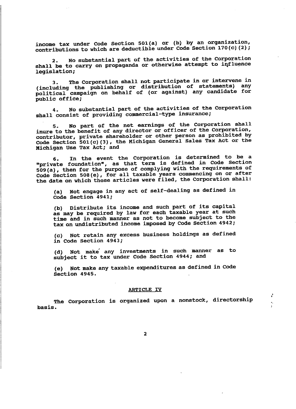income tax under Code Section 501(a) or (b) by an organization, contributions to which are deductible under Code Section 170 (c) (2);

2. No substantial part of the activities of the Corporation z. No substantial part of the activities of the corporator.<br>and he to carry on propaganda or otherwise attempt to influence lall De to Ca<br>baielation:

3. The Corporation shall not participate in or intervene in (including the publishing or distribution of statements) any including the publishing or distribution of statements,  $m_{\chi}$ <br>olitical campaign on behalf of (or against) any candidate for plitical campa<br>phi*ic offic*e:

4. No substantial part of the activities of the Corporation shall consist of providing commercial-type insurance;

5. No part of the net earnings of the Corporation shall inure to the benefit of any director or officer of the Corporation, contributor, private shareholder or other person as prohibited by ontributor, private snareholder or other person as prohibition  $\mathbb{F}_t$ <br>ode Section 501(c)(3), the Michigan General Sales Tax Act or the ode Section bui(C)(J), Lu<br>ichigan Use Tay Act: and

6. In the event the Corporation is determined to be a b. In the event the corporation is determined as the magnetic state of the corporation of the code Section private foundation", as that term is defined in edde beddes."<br>09/9), then for the purpose of complying with the requirements of Code Section 508(e), for all taxable years commencing on or after the date on which these articles were filed, the Corporation shall:

a) Not engage in any act of self-dealing as defined in a) NOT engage in d<br>Ade Section 4941:

(b) Distribute its income and such part of its capital as may be required by law for each taxable year at such time and in such manner as not to become subject to the tax on undistributed income imposed by Code Section 4942;

(c) Not retain any excess business holdings as defined in Code Section 4943;

(d) Not make any investments in such manner as to subject it to tax under Code Section 4944; and

(e) Not make any taxable expenditures as defined in Code e) NOT make:<br>Section 4945

# ARTICLE IV

The Corporation is organized upon a nonstock, directorship basis.

 $\mathbf{2}$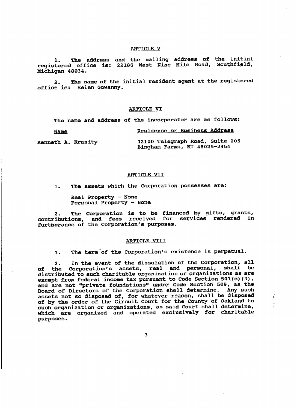# ARTICLE V

. The address and the mailing address of the initial registered office is: 22130 West Nine Mile Road, Southfield, Michigan 48034.

2. The name of the initial resident agent at the registered office is: Helen Gowanny.

# ARTICLE VI

The name and address of the incorporator are as follows:

Residence or Business Address **Name** Kenneth A. Krasity 32100 Telegraph Road, Suite 205 Bingham Farms, MI 48025-2454

#### ARTICLE VII

1. The assets which the Corporation possesses are:

Real Property - None Personal Property - None

2. The Corporation is to be financed by gifts, grants, contributions, and fees received for services rendered in furtherance of the Corporation's purposes.

# ARTICLE VIII

1. The term of the Corporation's existence is perpetual.

2. In the event of the dissolution of the Corporation, all of the Corporation's assets, real and personal, shall be distributed to such charitable organization or organizations as are exempt from federal income tax pursuant to Code Section 501(c)(3), and are not "private foundations" under Code Section 509, as the Board of Directors of the Corporation shall determine. Any such assets not so disposed of, for whatever reason, shall be disposed of by the order of the Circuit Court for the County of Oakland to such organization or organizations, as said Court shall determine, which are organized and operated exclusively for charitable purposes.

 $\overline{\mathbf{3}}$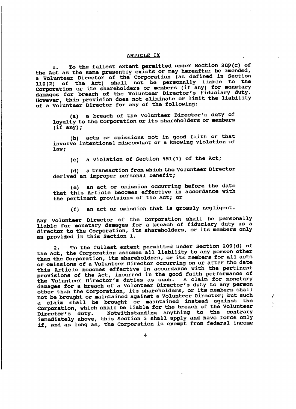# ARTICLE IX

1. To the fullest extent permitted under Section 209(c) of the Act as the same presently exists or may hereafter be amended, a Volunteer Director of the Corporation (as defined in Section 110(2) of the Act) shall not be personally liable to the Corporation or its shareholders or members (if any) for monetary damages for breach of the Volunteer Director's fiduciary duty. However, this provision does not eliminate or limit the liability of a Volunteer Director for any of the following:

(a) a breach of the Volunteer Director's duty of lowalty to the Corporation or its shareholders or members )yalty to<br>if anv):

(b) acts or omissions not in good faith or that involve intentional misconduct or a knowing violation of nvoi<br>951.

(c) a violation of Section 551(1) of the Act;

(d) a transaction from which the Volunteer Director derived an improper personal benefit;

(e) an act or omission occurring before the date that this Article becomes effective in accordance with the pertinent provisions of the Act; or

(f) an act or omission that is grossly negligent.

Any Volunteer Director of the Corporation shall be personally liable for monetary damages for a breach of fiduciary duty as a director to the Corporation, its shareholders, or its members only as provided in this Section 1.

2. To the fullest extent permitted under Section 209(d) of the Act, the Corporation assumes all liability to any person other than the Corporation, its shareholders, or its members for all acts or omissions of a Volunteer Director occurring on or after the date this Article becomes effective in accordance with the pertinent provisions of the Act, incurred in the good faith performance of provisions of the ACC, incurred in the good from performance of the Volunteer Director's duties as such. A claim for monetary damages for a breach of a Volunteer Director's duty to any person other than the Corporation, its shareholders, or its members shall not be brought or maintained against a Volunteer Director; but such a claim shall be brought or maintained instead against the I Claim shall be brought of mainternor influence by a Corporation, which shall be flable for the breath of the volunties.<br>Director's duty. Motwithstanding anything to the contrary Director's duty. Notwithstanding anything to the contrary<br>immediately above, this Section 3 shall apply and have force only if, and as long as, the Corporation is exempt from federal income

4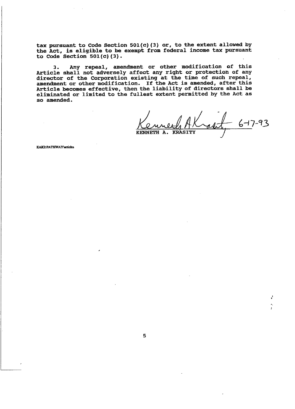tax pursuant to Code Section 501 (c) (3) or, to the extent allowed by the Act, is eligible to be exempt from federal income tax pursuant to Code Section  $501(c)$  (3).

3. Any repeal, amendment or other modification of this Article shall not adversely affect any right or protection of any director of the Corporation existing at the time of such repeal, amendment or other modification. If the Act is amended, after this Article becomes effective, then the liability of directors shall be eliminated or limited to the fullest extent permitted by the Act as so amended.

 $4 - 6 - 7 - 93$ KENNETH A. KRASITY

÷

KAK2:PATHWAY\articles